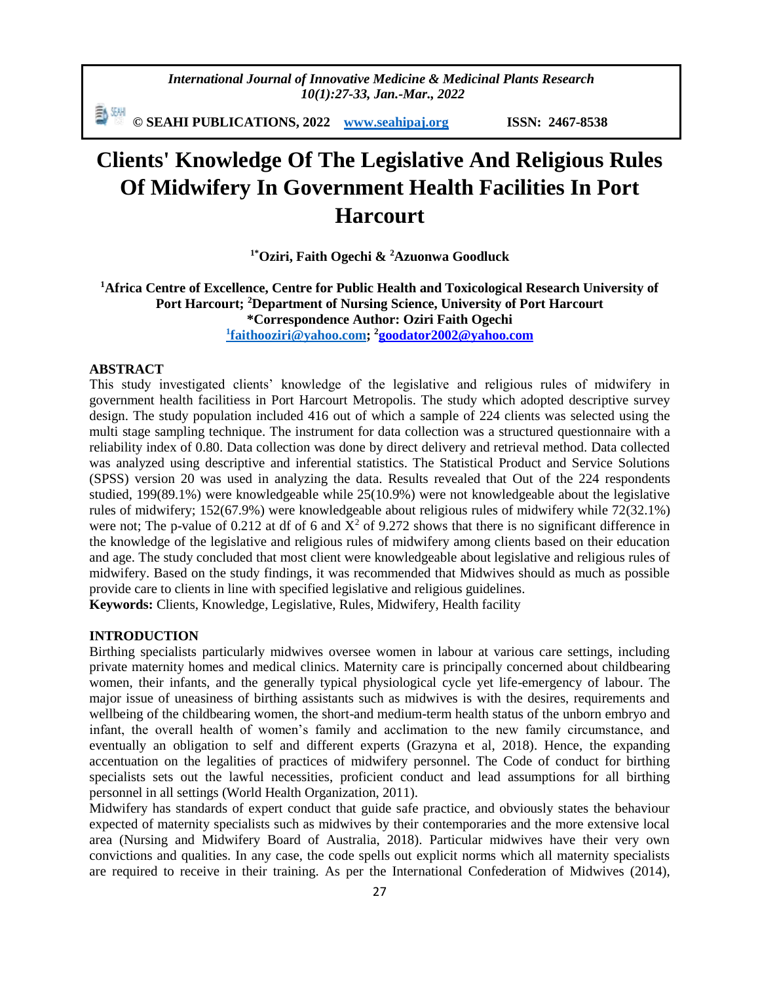*International Journal of Innovative Medicine & Medicinal Plants Research 10(1):27-33, Jan.-Mar., 2022*

動蜥 **© SEAHI PUBLICATIONS, 2022 [www.seahipaj.org](http://www.seahipaj.org/) ISSN: 2467-8538**

# **Clients' Knowledge Of The Legislative And Religious Rules Of Midwifery In Government Health Facilities In Port Harcourt**

**1\*Oziri, Faith Ogechi & <sup>2</sup>Azuonwa Goodluck**

**<sup>1</sup>Africa Centre of Excellence, Centre for Public Health and Toxicological Research University of Port Harcourt; <sup>2</sup>Department of Nursing Science, University of Port Harcourt \*Correspondence Author: Oziri Faith Ogechi 1 [faithooziri@yahoo.com;](mailto:1faithooziri@yahoo.com) <sup>2</sup>[goodator2002@yahoo.com](mailto:goodator2002@yahoo.com)**

#### **ABSTRACT**

This study investigated clients' knowledge of the legislative and religious rules of midwifery in government health facilitiess in Port Harcourt Metropolis. The study which adopted descriptive survey design. The study population included 416 out of which a sample of 224 clients was selected using the multi stage sampling technique. The instrument for data collection was a structured questionnaire with a reliability index of 0.80. Data collection was done by direct delivery and retrieval method. Data collected was analyzed using descriptive and inferential statistics. The Statistical Product and Service Solutions (SPSS) version 20 was used in analyzing the data. Results revealed that Out of the 224 respondents studied, 199(89.1%) were knowledgeable while 25(10.9%) were not knowledgeable about the legislative rules of midwifery; 152(67.9%) were knowledgeable about religious rules of midwifery while 72(32.1%) were not; The p-value of 0.212 at df of 6 and  $\overline{X}^2$  of 9.272 shows that there is no significant difference in the knowledge of the legislative and religious rules of midwifery among clients based on their education and age. The study concluded that most client were knowledgeable about legislative and religious rules of midwifery. Based on the study findings, it was recommended that Midwives should as much as possible provide care to clients in line with specified legislative and religious guidelines.

**Keywords:** Clients, Knowledge, Legislative, Rules, Midwifery, Health facility

#### **INTRODUCTION**

Birthing specialists particularly midwives oversee women in labour at various care settings, including private maternity homes and medical clinics. Maternity care is principally concerned about childbearing women, their infants, and the generally typical physiological cycle yet life-emergency of labour. The major issue of uneasiness of birthing assistants such as midwives is with the desires, requirements and wellbeing of the childbearing women, the short-and medium-term health status of the unborn embryo and infant, the overall health of women's family and acclimation to the new family circumstance, and eventually an obligation to self and different experts (Grazyna et al, 2018). Hence, the expanding accentuation on the legalities of practices of midwifery personnel. The Code of conduct for birthing specialists sets out the lawful necessities, proficient conduct and lead assumptions for all birthing personnel in all settings (World Health Organization, 2011).

Midwifery has standards of expert conduct that guide safe practice, and obviously states the behaviour expected of maternity specialists such as midwives by their contemporaries and the more extensive local area (Nursing and Midwifery Board of Australia, 2018). Particular midwives have their very own convictions and qualities. In any case, the code spells out explicit norms which all maternity specialists are required to receive in their training. As per the International Confederation of Midwives (2014),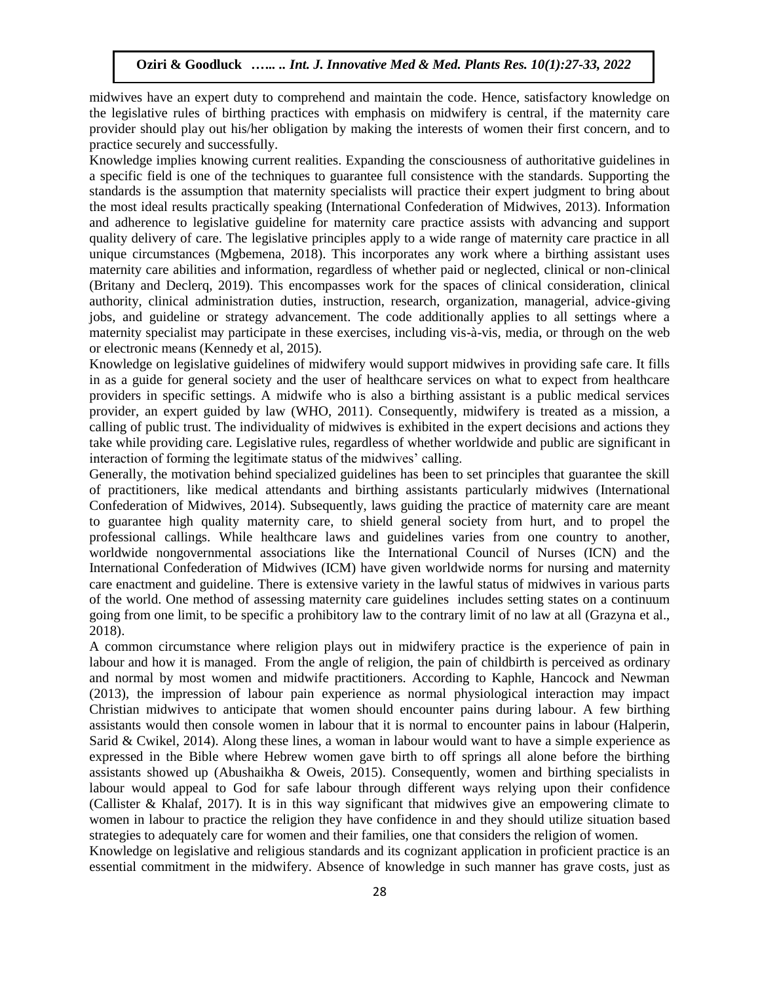midwives have an expert duty to comprehend and maintain the code. Hence, satisfactory knowledge on the legislative rules of birthing practices with emphasis on midwifery is central, if the maternity care provider should play out his/her obligation by making the interests of women their first concern, and to practice securely and successfully.

Knowledge implies knowing current realities. Expanding the consciousness of authoritative guidelines in a specific field is one of the techniques to guarantee full consistence with the standards. Supporting the standards is the assumption that maternity specialists will practice their expert judgment to bring about the most ideal results practically speaking (International Confederation of Midwives, 2013). Information and adherence to legislative guideline for maternity care practice assists with advancing and support quality delivery of care. The legislative principles apply to a wide range of maternity care practice in all unique circumstances (Mgbemena, 2018). This incorporates any work where a birthing assistant uses maternity care abilities and information, regardless of whether paid or neglected, clinical or non-clinical (Britany and Declerq, 2019). This encompasses work for the spaces of clinical consideration, clinical authority, clinical administration duties, instruction, research, organization, managerial, advice-giving jobs, and guideline or strategy advancement. The code additionally applies to all settings where a maternity specialist may participate in these exercises, including vis-à-vis, media, or through on the web or electronic means (Kennedy et al, 2015).

Knowledge on legislative guidelines of midwifery would support midwives in providing safe care. It fills in as a guide for general society and the user of healthcare services on what to expect from healthcare providers in specific settings. A midwife who is also a birthing assistant is a public medical services provider, an expert guided by law (WHO, 2011). Consequently, midwifery is treated as a mission, a calling of public trust. The individuality of midwives is exhibited in the expert decisions and actions they take while providing care. Legislative rules, regardless of whether worldwide and public are significant in interaction of forming the legitimate status of the midwives' calling.

Generally, the motivation behind specialized guidelines has been to set principles that guarantee the skill of practitioners, like medical attendants and birthing assistants particularly midwives (International Confederation of Midwives, 2014). Subsequently, laws guiding the practice of maternity care are meant to guarantee high quality maternity care, to shield general society from hurt, and to propel the professional callings. While healthcare laws and guidelines varies from one country to another, worldwide nongovernmental associations like the International Council of Nurses (ICN) and the International Confederation of Midwives (ICM) have given worldwide norms for nursing and maternity care enactment and guideline. There is extensive variety in the lawful status of midwives in various parts of the world. One method of assessing maternity care guidelines includes setting states on a continuum going from one limit, to be specific a prohibitory law to the contrary limit of no law at all (Grazyna et al., 2018).

A common circumstance where religion plays out in midwifery practice is the experience of pain in labour and how it is managed. From the angle of religion, the pain of childbirth is perceived as ordinary and normal by most women and midwife practitioners. According to Kaphle, Hancock and Newman (2013), the impression of labour pain experience as normal physiological interaction may impact Christian midwives to anticipate that women should encounter pains during labour. A few birthing assistants would then console women in labour that it is normal to encounter pains in labour (Halperin, Sarid & Cwikel, 2014). Along these lines, a woman in labour would want to have a simple experience as expressed in the Bible where Hebrew women gave birth to off springs all alone before the birthing assistants showed up (Abushaikha & Oweis, 2015). Consequently, women and birthing specialists in labour would appeal to God for safe labour through different ways relying upon their confidence (Callister & Khalaf, 2017). It is in this way significant that midwives give an empowering climate to women in labour to practice the religion they have confidence in and they should utilize situation based strategies to adequately care for women and their families, one that considers the religion of women.

Knowledge on legislative and religious standards and its cognizant application in proficient practice is an essential commitment in the midwifery. Absence of knowledge in such manner has grave costs, just as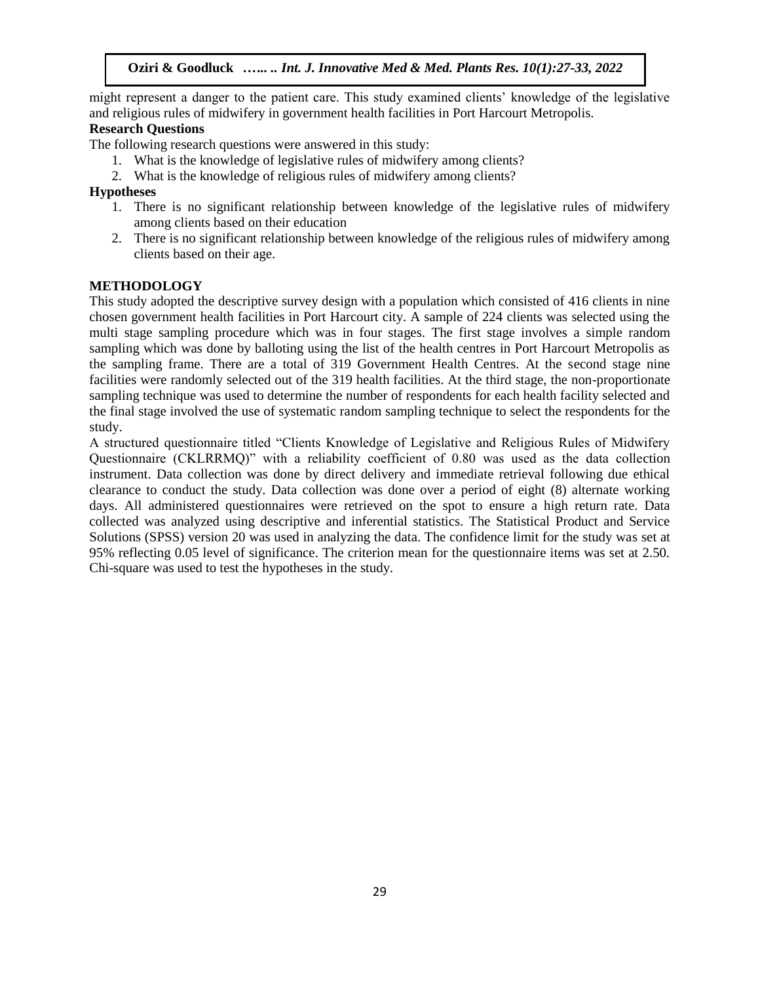might represent a danger to the patient care. This study examined clients' knowledge of the legislative and religious rules of midwifery in government health facilities in Port Harcourt Metropolis.

## **Research Questions**

The following research questions were answered in this study:

- 1. What is the knowledge of legislative rules of midwifery among clients?
- 2. What is the knowledge of religious rules of midwifery among clients?

## **Hypotheses**

- 1. There is no significant relationship between knowledge of the legislative rules of midwifery among clients based on their education
- 2. There is no significant relationship between knowledge of the religious rules of midwifery among clients based on their age.

## **METHODOLOGY**

This study adopted the descriptive survey design with a population which consisted of 416 clients in nine chosen government health facilities in Port Harcourt city. A sample of 224 clients was selected using the multi stage sampling procedure which was in four stages. The first stage involves a simple random sampling which was done by balloting using the list of the health centres in Port Harcourt Metropolis as the sampling frame. There are a total of 319 Government Health Centres. At the second stage nine facilities were randomly selected out of the 319 health facilities. At the third stage, the non-proportionate sampling technique was used to determine the number of respondents for each health facility selected and the final stage involved the use of systematic random sampling technique to select the respondents for the study.

A structured questionnaire titled "Clients Knowledge of Legislative and Religious Rules of Midwifery Questionnaire (CKLRRMQ)" with a reliability coefficient of 0.80 was used as the data collection instrument. Data collection was done by direct delivery and immediate retrieval following due ethical clearance to conduct the study. Data collection was done over a period of eight (8) alternate working days. All administered questionnaires were retrieved on the spot to ensure a high return rate. Data collected was analyzed using descriptive and inferential statistics. The Statistical Product and Service Solutions (SPSS) version 20 was used in analyzing the data. The confidence limit for the study was set at 95% reflecting 0.05 level of significance. The criterion mean for the questionnaire items was set at 2.50. Chi-square was used to test the hypotheses in the study.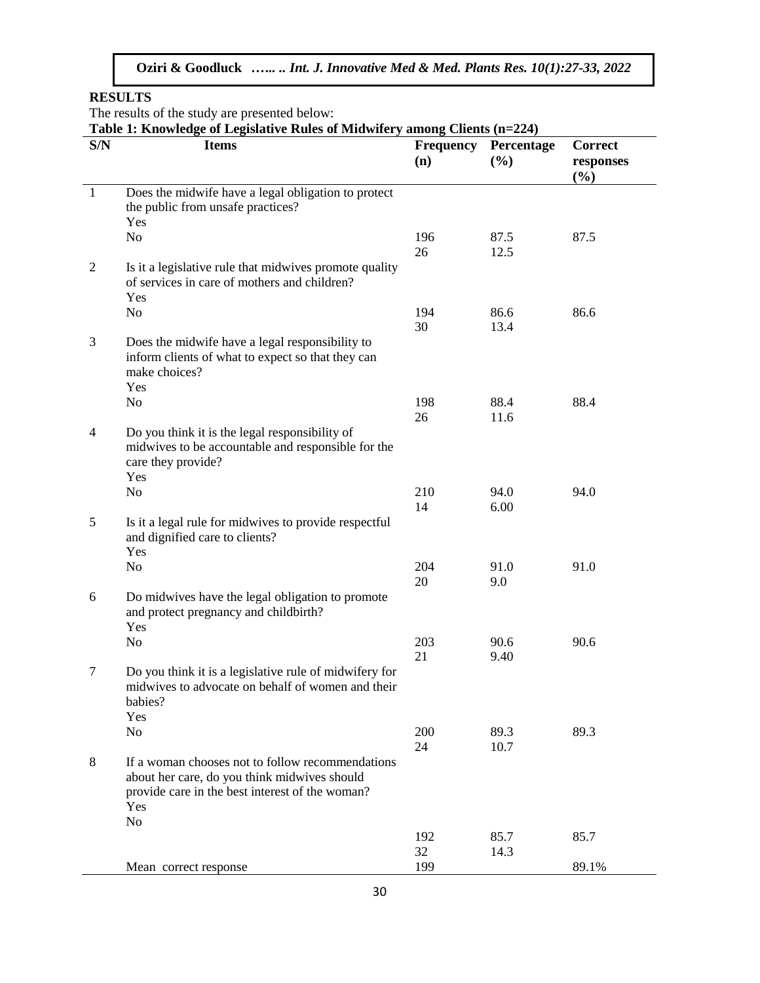**RESULTS**

The results of the study are presented below:

**Table 1: Knowledge of Legislative Rules of Midwifery among Clients (n=224)**

| S/N            | Table 1. Knowledge of Legislative Kules of Mildwilety among Chemis $(1 - 224)$<br><b>Items</b>                                                                               | <b>Frequency</b> | Percentage   | <b>Correct</b>   |
|----------------|------------------------------------------------------------------------------------------------------------------------------------------------------------------------------|------------------|--------------|------------------|
|                |                                                                                                                                                                              | (n)              | (%)          | responses<br>(%) |
| $\mathbf{1}$   | Does the midwife have a legal obligation to protect<br>the public from unsafe practices?                                                                                     |                  |              |                  |
|                | Yes<br>N <sub>o</sub>                                                                                                                                                        | 196<br>26        | 87.5<br>12.5 | 87.5             |
| $\overline{2}$ | Is it a legislative rule that midwives promote quality<br>of services in care of mothers and children?                                                                       |                  |              |                  |
|                | Yes<br>N <sub>o</sub>                                                                                                                                                        | 194<br>30        | 86.6<br>13.4 | 86.6             |
| 3              | Does the midwife have a legal responsibility to<br>inform clients of what to expect so that they can<br>make choices?<br>Yes                                                 |                  |              |                  |
|                | N <sub>o</sub>                                                                                                                                                               | 198<br>26        | 88.4<br>11.6 | 88.4             |
| $\overline{4}$ | Do you think it is the legal responsibility of<br>midwives to be accountable and responsible for the<br>care they provide?<br>Yes                                            |                  |              |                  |
|                | N <sub>o</sub>                                                                                                                                                               | 210              | 94.0         | 94.0             |
| 5              | Is it a legal rule for midwives to provide respectful<br>and dignified care to clients?<br>Yes                                                                               | 14               | 6.00         |                  |
|                | N <sub>o</sub>                                                                                                                                                               | 204<br>20        | 91.0<br>9.0  | 91.0             |
| 6              | Do midwives have the legal obligation to promote<br>and protect pregnancy and childbirth?<br>Yes                                                                             |                  |              |                  |
|                | N <sub>0</sub>                                                                                                                                                               | 203<br>21        | 90.6<br>9.40 | 90.6             |
| 7              | Do you think it is a legislative rule of midwifery for<br>midwives to advocate on behalf of women and their<br>babies?<br>Yes                                                |                  |              |                  |
|                | N <sub>0</sub>                                                                                                                                                               | 200              | 89.3         | 89.3             |
| 8              | If a woman chooses not to follow recommendations<br>about her care, do you think midwives should<br>provide care in the best interest of the woman?<br>Yes<br>N <sub>0</sub> | 24               | 10.7         |                  |
|                |                                                                                                                                                                              | 192<br>32        | 85.7<br>14.3 | 85.7             |
|                | Mean correct response                                                                                                                                                        | 199              |              | 89.1%            |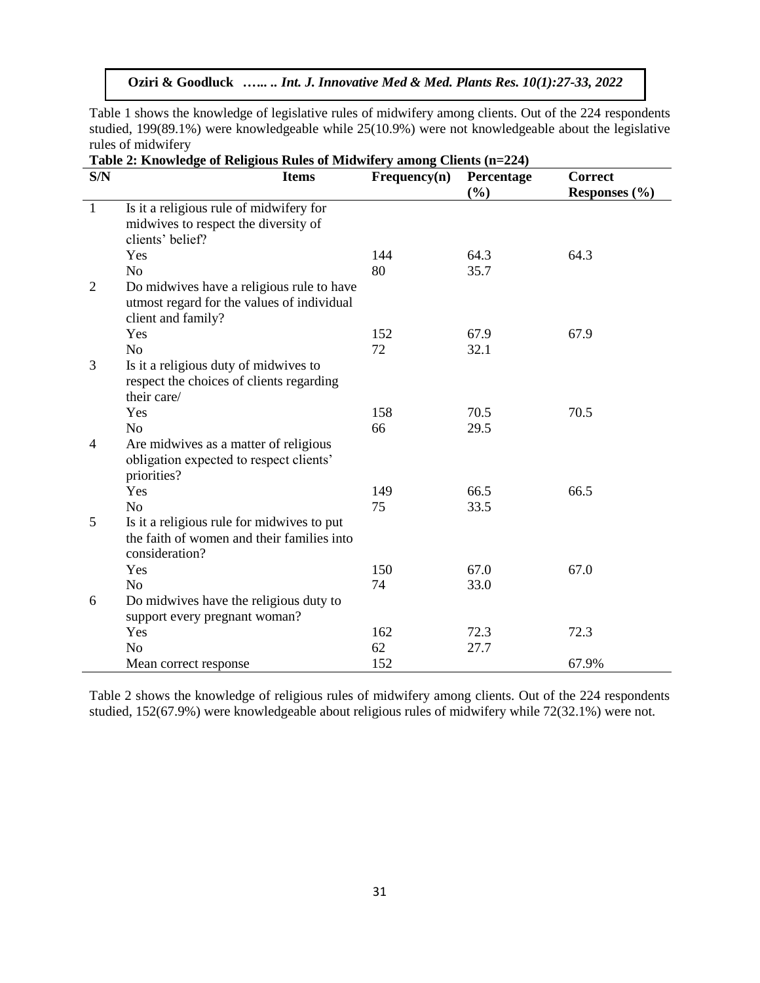Table 1 shows the knowledge of legislative rules of midwifery among clients. Out of the 224 respondents studied, 199(89.1%) were knowledgeable while 25(10.9%) were not knowledgeable about the legislative rules of midwifery

| S/N            | $1000 - 1000$<br>$\alpha$ or religious rates of matemately among energy $(n-2)$<br><b>Items</b> | Frequency(n) | Percentage | <b>Correct</b>    |
|----------------|-------------------------------------------------------------------------------------------------|--------------|------------|-------------------|
|                |                                                                                                 |              | (%)        | Responses $(\% )$ |
| $\mathbf{1}$   | Is it a religious rule of midwifery for                                                         |              |            |                   |
|                | midwives to respect the diversity of                                                            |              |            |                   |
|                | clients' belief?                                                                                |              |            |                   |
|                | Yes                                                                                             | 144          | 64.3       | 64.3              |
|                | N <sub>o</sub>                                                                                  | 80           | 35.7       |                   |
| $\overline{2}$ | Do midwives have a religious rule to have                                                       |              |            |                   |
|                | utmost regard for the values of individual                                                      |              |            |                   |
|                | client and family?                                                                              |              |            |                   |
|                | Yes                                                                                             | 152          | 67.9       | 67.9              |
|                | N <sub>o</sub>                                                                                  | 72           | 32.1       |                   |
| 3              | Is it a religious duty of midwives to                                                           |              |            |                   |
|                | respect the choices of clients regarding                                                        |              |            |                   |
|                | their care/                                                                                     |              |            |                   |
|                | Yes                                                                                             | 158          | 70.5       | 70.5              |
|                | N <sub>o</sub>                                                                                  | 66           | 29.5       |                   |
| $\overline{4}$ | Are midwives as a matter of religious                                                           |              |            |                   |
|                | obligation expected to respect clients'                                                         |              |            |                   |
|                | priorities?                                                                                     |              |            |                   |
|                | Yes                                                                                             | 149          | 66.5       | 66.5              |
|                | N <sub>o</sub>                                                                                  | 75           | 33.5       |                   |
| 5              | Is it a religious rule for midwives to put                                                      |              |            |                   |
|                | the faith of women and their families into                                                      |              |            |                   |
|                | consideration?                                                                                  |              |            |                   |
|                | Yes                                                                                             | 150          | 67.0       | 67.0              |
|                | N <sub>o</sub>                                                                                  | 74           | 33.0       |                   |
| 6              | Do midwives have the religious duty to                                                          |              |            |                   |
|                | support every pregnant woman?                                                                   |              |            |                   |
|                | Yes                                                                                             | 162          | 72.3       | 72.3              |
|                | N <sub>o</sub>                                                                                  | 62           | 27.7       |                   |
|                | Mean correct response                                                                           | 152          |            | 67.9%             |

|  |  | Table 2: Knowledge of Religious Rules of Midwifery among Clients (n=224) |  |  |
|--|--|--------------------------------------------------------------------------|--|--|
|  |  |                                                                          |  |  |

Table 2 shows the knowledge of religious rules of midwifery among clients. Out of the 224 respondents studied, 152(67.9%) were knowledgeable about religious rules of midwifery while 72(32.1%) were not.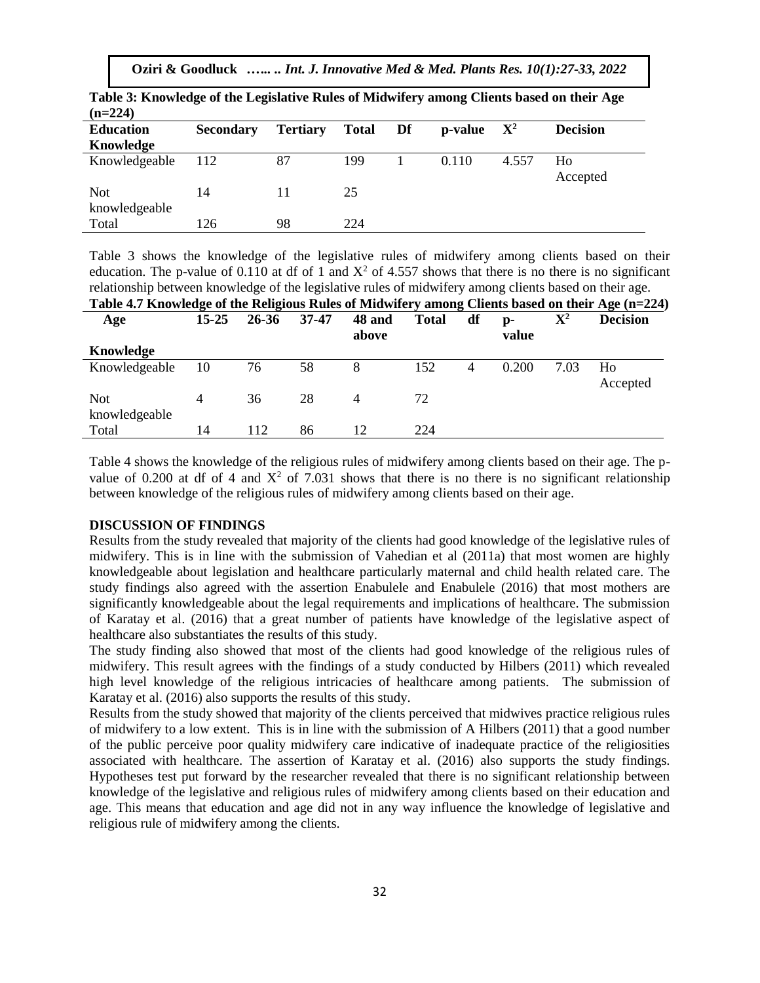| <b>Secondary</b> | <b>Tertiary</b> | <b>Total</b> | Df | p-value | $\mathbf{X}^2$ | <b>Decision</b> |
|------------------|-----------------|--------------|----|---------|----------------|-----------------|
|                  |                 |              |    |         |                |                 |
| 112              | 87              | 199          |    | 0.110   | 4.557          | Ho              |
|                  |                 |              |    |         |                | Accepted        |
| 14               | 11              | 25           |    |         |                |                 |
|                  |                 |              |    |         |                |                 |
| 126              | 98              | 224          |    |         |                |                 |
|                  |                 |              |    |         |                |                 |

**Table 3: Knowledge of the Legislative Rules of Midwifery among Clients based on their Age** 

Table 3 shows the knowledge of the legislative rules of midwifery among clients based on their education. The p-value of 0.110 at df of 1 and  $X^2$  of 4.557 shows that there is no there is no significant relationship between knowledge of the legislative rules of midwifery among clients based on their age.<br>The legislative of the Deligious Dules of Midwifery among Clients based on their Age (n=2)

| Table 4.7 Knowledge of the Religious Rules of Midwifery among Clients based on their Age (n=224) |           |           |           |                 |              |    |                         |                |                 |
|--------------------------------------------------------------------------------------------------|-----------|-----------|-----------|-----------------|--------------|----|-------------------------|----------------|-----------------|
| Age                                                                                              | $15 - 25$ | $26 - 36$ | $37 - 47$ | 48 and<br>above | <b>Total</b> | df | $\mathbf{p}$ -<br>value | $\mathbf{X}^2$ | <b>Decision</b> |
| Knowledge                                                                                        |           |           |           |                 |              |    |                         |                |                 |
| Knowledgeable                                                                                    | 10        | 76        | 58        | 8               | 152          | 4  | 0.200                   | 7.03           | Ho<br>Accepted  |
| <b>Not</b><br>knowledgeable                                                                      | 4         | 36        | 28        | 4               | 72           |    |                         |                |                 |
| Total                                                                                            | 14        | 112       | 86        | 12              | 224          |    |                         |                |                 |

Table 4 shows the knowledge of the religious rules of midwifery among clients based on their age. The pvalue of 0.200 at df of 4 and  $X^2$  of 7.031 shows that there is no there is no significant relationship between knowledge of the religious rules of midwifery among clients based on their age.

## **DISCUSSION OF FINDINGS**

Results from the study revealed that majority of the clients had good knowledge of the legislative rules of midwifery. This is in line with the submission of Vahedian et al (2011a) that most women are highly knowledgeable about legislation and healthcare particularly maternal and child health related care. The study findings also agreed with the assertion Enabulele and Enabulele (2016) that most mothers are significantly knowledgeable about the legal requirements and implications of healthcare. The submission of Karatay et al. (2016) that a great number of patients have knowledge of the legislative aspect of healthcare also substantiates the results of this study.

The study finding also showed that most of the clients had good knowledge of the religious rules of midwifery. This result agrees with the findings of a study conducted by Hilbers (2011) which revealed high level knowledge of the religious intricacies of healthcare among patients. The submission of Karatay et al. (2016) also supports the results of this study.

Results from the study showed that majority of the clients perceived that midwives practice religious rules of midwifery to a low extent. This is in line with the submission of A Hilbers (2011) that a good number of the public perceive poor quality midwifery care indicative of inadequate practice of the religiosities associated with healthcare. The assertion of Karatay et al. (2016) also supports the study findings. Hypotheses test put forward by the researcher revealed that there is no significant relationship between knowledge of the legislative and religious rules of midwifery among clients based on their education and age. This means that education and age did not in any way influence the knowledge of legislative and religious rule of midwifery among the clients.